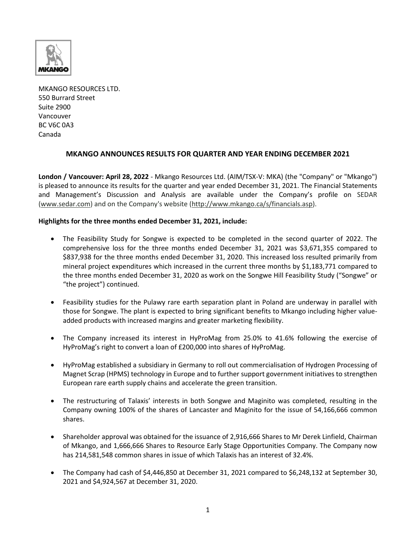

MKANGO RESOURCES LTD. 550 Burrard Street Suite 2900 Vancouver BC V6C 0A3 Canada

## **MKANGO ANNOUNCES RESULTS FOR QUARTER AND YEAR ENDING DECEMBER 2021**

**London / Vancouver: April 28, 2022** - Mkango Resources Ltd. (AIM/TSX-V: MKA) (the "Company" or "Mkango") is pleased to announce its results for the quarter and year ended December 31, 2021. The Financial Statements and Management's Discussion and Analysis are available under the Company's profile on SEDAR [\(www.sedar.com\)](http://www.sedar.com/) and on the Company's website [\(http://www.mkango.ca/s/financials.asp\)](http://www.mkango.ca/s/financials.asp).

### **Highlights for the three months ended December 31, 2021, include:**

- The Feasibility Study for Songwe is expected to be completed in the second quarter of 2022. The comprehensive loss for the three months ended December 31, 2021 was \$3,671,355 compared to \$837,938 for the three months ended December 31, 2020. This increased loss resulted primarily from mineral project expenditures which increased in the current three months by \$1,183,771 compared to the three months ended December 31, 2020 as work on the Songwe Hill Feasibility Study ("Songwe" or "the project") continued.
- Feasibility studies for the Pulawy rare earth separation plant in Poland are underway in parallel with those for Songwe. The plant is expected to bring significant benefits to Mkango including higher valueadded products with increased margins and greater marketing flexibility.
- The Company increased its interest in HyProMag from 25.0% to 41.6% following the exercise of HyProMag's right to convert a loan of £200,000 into shares of HyProMag.
- HyProMag established a subsidiary in Germany to roll out commercialisation of Hydrogen Processing of Magnet Scrap (HPMS) technology in Europe and to further support government initiatives to strengthen European rare earth supply chains and accelerate the green transition.
- The restructuring of Talaxis' interests in both Songwe and Maginito was completed, resulting in the Company owning 100% of the shares of Lancaster and Maginito for the issue of 54,166,666 common shares.
- Shareholder approval was obtained for the issuance of 2,916,666 Shares to Mr Derek Linfield, Chairman of Mkango, and 1,666,666 Shares to Resource Early Stage Opportunities Company. The Company now has 214,581,548 common shares in issue of which Talaxis has an interest of 32.4%.
- The Company had cash of \$4,446,850 at December 31, 2021 compared to \$6,248,132 at September 30, 2021 and \$4,924,567 at December 31, 2020.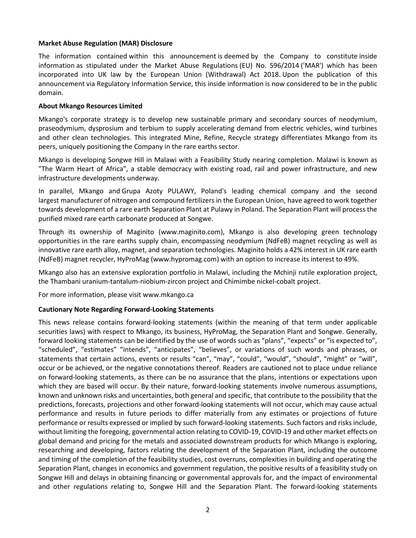#### **Market Abuse Regulation (MAR) Disclosure**

The information contained within this announcement is deemed by the Company to constitute inside information as stipulated under the Market Abuse Regulations (EU) No. 596/2014 ('MAR') which has been incorporated into UK law by the European Union (Withdrawal) Act 2018. Upon the publication of this announcement via Regulatory Information Service, this inside information is now considered to be in the public domain.

#### **About Mkango Resources Limited**

Mkango's corporate strategy is to develop new sustainable primary and secondary sources of neodymium, praseodymium, dysprosium and terbium to supply accelerating demand from electric vehicles, wind turbines and other clean technologies. This integrated Mine, Refine, Recycle strategy differentiates Mkango from its peers, uniquely positioning the Company in the rare earths sector.

Mkango is developing Songwe Hill in Malawi with a Feasibility Study nearing completion. Malawi is known as "The Warm Heart of Africa", a stable democracy with existing road, rail and power infrastructure, and new infrastructure developments underway.

In parallel, Mkango and Grupa Azoty PULAWY, Poland's leading chemical company and the second largest manufacturer of nitrogen and compound fertilizers in the European Union, have agreed to work together towards development of a rare earth Separation Plant at Pulawy in Poland. The Separation Plant will process the purified mixed rare earth carbonate produced at Songwe.

Through its ownership of Maginito [\(www.maginito.com\)](http://www.maginito.com/), Mkango is also developing green technology opportunities in the rare earths supply chain, encompassing neodymium (NdFeB) magnet recycling as well as innovative rare earth alloy, magnet, and separation technologies. Maginito holds a 42% interest in UK rare earth (NdFeB) magnet recycler, HyProMag [\(www.hypromag.com\)](http://www.hypromag.com/) with an option to increase its interest to 49%.

Mkango also has an extensive exploration portfolio in Malawi, including the Mchinji rutile exploration project, the Thambani uranium-tantalum-niobium-zircon project and Chimimbe nickel-cobalt project.

For more information, please visit www.mkango.ca

### **Cautionary Note Regarding Forward-Looking Statements**

This news release contains forward-looking statements (within the meaning of that term under applicable securities laws) with respect to Mkango, its business, HyProMag, the Separation Plant and Songwe. Generally, forward looking statements can be identified by the use of words such as "plans", "expects" or "is expected to", "scheduled", "estimates" "intends", "anticipates", "believes", or variations of such words and phrases, or statements that certain actions, events or results "can", "may", "could", "would", "should", "might" or "will", occur or be achieved, or the negative connotations thereof. Readers are cautioned not to place undue reliance on forward-looking statements, as there can be no assurance that the plans, intentions or expectations upon which they are based will occur. By their nature, forward-looking statements involve numerous assumptions, known and unknown risks and uncertainties, both general and specific, that contribute to the possibility that the predictions, forecasts, projections and other forward-looking statements will not occur, which may cause actual performance and results in future periods to differ materially from any estimates or projections of future performance or results expressed or implied by such forward-looking statements. Such factors and risks include, without limiting the foregoing, governmental action relating to COVID-19, COVID-19 and other market effects on global demand and pricing for the metals and associated downstream products for which Mkango is exploring, researching and developing, factors relating the development of the Separation Plant, including the outcome and timing of the completion of the feasibility studies, cost overruns, complexities in building and operating the Separation Plant, changes in economics and government regulation, the positive results of a feasibility study on Songwe Hill and delays in obtaining financing or governmental approvals for, and the impact of environmental and other regulations relating to, Songwe Hill and the Separation Plant. The forward-looking statements